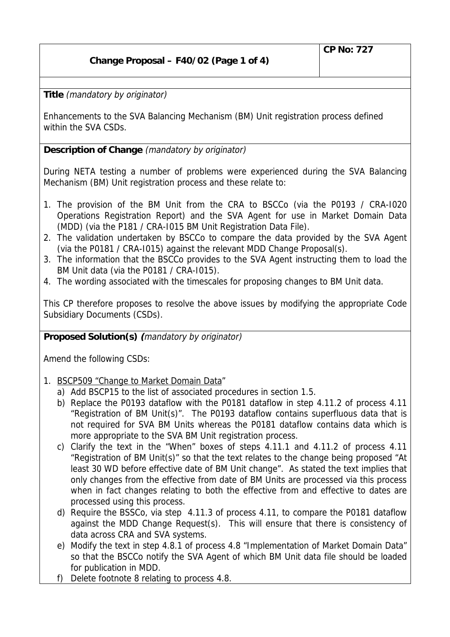## **Change Proposal – F40/02 (Page 1 of 4)**

**Title** (mandatory by originator)

Enhancements to the SVA Balancing Mechanism (BM) Unit registration process defined within the SVA CSDs.

**Description of Change** (mandatory by originator)

During NETA testing a number of problems were experienced during the SVA Balancing Mechanism (BM) Unit registration process and these relate to:

- 1. The provision of the BM Unit from the CRA to BSCCo (via the P0193 / CRA-I020 Operations Registration Report) and the SVA Agent for use in Market Domain Data (MDD) (via the P181 / CRA-I015 BM Unit Registration Data File).
- 2. The validation undertaken by BSCCo to compare the data provided by the SVA Agent (via the P0181 / CRA-I015) against the relevant MDD Change Proposal(s).
- 3. The information that the BSCCo provides to the SVA Agent instructing them to load the BM Unit data (via the P0181 / CRA-I015).
- 4. The wording associated with the timescales for proposing changes to BM Unit data.

This CP therefore proposes to resolve the above issues by modifying the appropriate Code Subsidiary Documents (CSDs).

**Proposed Solution(s) (**mandatory by originator)

Amend the following CSDs:

- 1. BSCP509 "Change to Market Domain Data"
	- a) Add BSCP15 to the list of associated procedures in section 1.5.
	- b) Replace the P0193 dataflow with the P0181 dataflow in step 4.11.2 of process 4.11 "Registration of BM Unit(s)". The P0193 dataflow contains superfluous data that is not required for SVA BM Units whereas the P0181 dataflow contains data which is more appropriate to the SVA BM Unit registration process.
	- c) Clarify the text in the "When" boxes of steps 4.11.1 and 4.11.2 of process 4.11 "Registration of BM Unit(s)" so that the text relates to the change being proposed "At least 30 WD before effective date of BM Unit change". As stated the text implies that only changes from the effective from date of BM Units are processed via this process when in fact changes relating to both the effective from and effective to dates are processed using this process.
	- d) Require the BSSCo, via step 4.11.3 of process 4.11, to compare the P0181 dataflow against the MDD Change Request(s). This will ensure that there is consistency of data across CRA and SVA systems.
	- e) Modify the text in step 4.8.1 of process 4.8 "Implementation of Market Domain Data" so that the BSCCo notify the SVA Agent of which BM Unit data file should be loaded for publication in MDD.
	- f) Delete footnote 8 relating to process 4.8.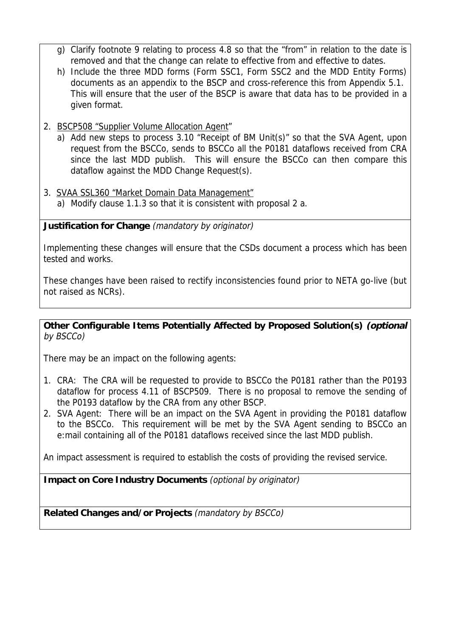- g) Clarify footnote 9 relating to process 4.8 so that the "from" in relation to the date is removed and that the change can relate to effective from and effective to dates.
- h) Include the three MDD forms (Form SSC1, Form SSC2 and the MDD Entity Forms) documents as an appendix to the BSCP and cross-reference this from Appendix 5.1. This will ensure that the user of the BSCP is aware that data has to be provided in a given format.

## 2. BSCP508 "Supplier Volume Allocation Agent"

- a) Add new steps to process 3.10 "Receipt of BM Unit(s)" so that the SVA Agent, upon request from the BSCCo, sends to BSCCo all the P0181 dataflows received from CRA since the last MDD publish. This will ensure the BSCCo can then compare this dataflow against the MDD Change Request(s).
- 3. SVAA SSL360 "Market Domain Data Management"
	- a) Modify clause 1.1.3 so that it is consistent with proposal 2 a.

**Justification for Change** (mandatory by originator)

Implementing these changes will ensure that the CSDs document a process which has been tested and works.

These changes have been raised to rectify inconsistencies found prior to NETA go-live (but not raised as NCRs).

## **Other Configurable Items Potentially Affected by Proposed Solution(s) (optional** by BSCCo)

There may be an impact on the following agents:

- 1. CRA: The CRA will be requested to provide to BSCCo the P0181 rather than the P0193 dataflow for process 4.11 of BSCP509. There is no proposal to remove the sending of the P0193 dataflow by the CRA from any other BSCP.
- 2. SVA Agent: There will be an impact on the SVA Agent in providing the P0181 dataflow to the BSCCo. This requirement will be met by the SVA Agent sending to BSCCo an e:mail containing all of the P0181 dataflows received since the last MDD publish.

An impact assessment is required to establish the costs of providing the revised service.

**Impact on Core Industry Documents** (optional by originator)

**Related Changes and/or Projects** (mandatory by BSCCo)